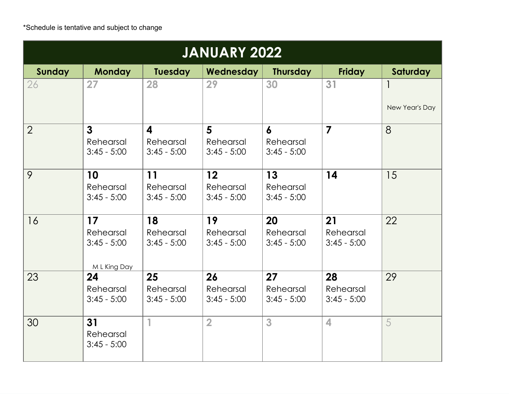| <b>JANUARY 2022</b> |                                                  |                                                       |                                  |                                  |                                  |                |  |
|---------------------|--------------------------------------------------|-------------------------------------------------------|----------------------------------|----------------------------------|----------------------------------|----------------|--|
| <b>Sunday</b>       | <b>Monday</b>                                    | <b>Tuesday</b>                                        | Wednesday                        | <b>Thursday</b>                  | <b>Friday</b>                    | Saturday       |  |
| 26                  | 27                                               | 28                                                    | 29                               | 30                               | 31                               | New Year's Day |  |
| $\overline{2}$      | 3<br>Rehearsal<br>$3:45 - 5:00$                  | $\overline{\mathbf{4}}$<br>Rehearsal<br>$3:45 - 5:00$ | 5<br>Rehearsal<br>$3:45 - 5:00$  | 6<br>Rehearsal<br>$3:45 - 5:00$  | $\overline{7}$                   | 8              |  |
| 9                   | 10<br>Rehearsal<br>$3:45 - 5:00$                 | 11<br>Rehearsal<br>$3:45 - 5:00$                      | 12<br>Rehearsal<br>$3:45 - 5:00$ | 13<br>Rehearsal<br>$3:45 - 5:00$ | 14                               | 15             |  |
| 16                  | 17<br>Rehearsal<br>$3:45 - 5:00$<br>M L King Day | 18<br>Rehearsal<br>$3:45 - 5:00$                      | 19<br>Rehearsal<br>$3:45 - 5:00$ | 20<br>Rehearsal<br>$3:45 - 5:00$ | 21<br>Rehearsal<br>$3:45 - 5:00$ | 22             |  |
| 23                  | 24<br>Rehearsal<br>$3:45 - 5:00$                 | 25<br>Rehearsal<br>$3:45 - 5:00$                      | 26<br>Rehearsal<br>$3:45 - 5:00$ | 27<br>Rehearsal<br>$3:45 - 5:00$ | 28<br>Rehearsal<br>$3:45 - 5:00$ | 29             |  |
| 30                  | 31<br>Rehearsal<br>$3:45 - 5:00$                 | $\mathbf{1}$                                          | $\overline{2}$                   | 3                                | 4                                | 5              |  |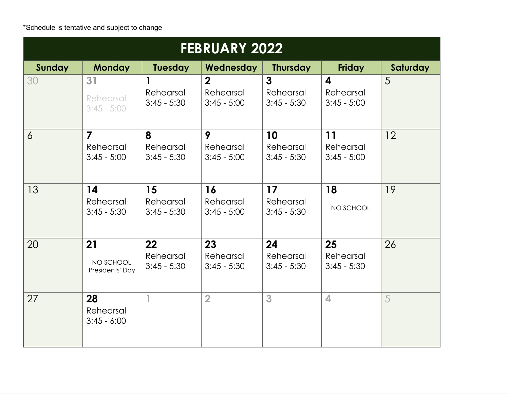\*Schedule is tentative and subject to change

| <b>FEBRUARY 2022</b> |                                              |                                  |                                              |                                            |                                                       |          |  |
|----------------------|----------------------------------------------|----------------------------------|----------------------------------------------|--------------------------------------------|-------------------------------------------------------|----------|--|
| Sunday               | <b>Monday</b>                                | <b>Tuesday</b>                   | Wednesday                                    | <b>Thursday</b>                            | <b>Friday</b>                                         | Saturday |  |
| 30                   | 31<br>Rehearsal<br>$3:45 - 5:00$             | 1<br>Rehearsal<br>$3:45 - 5:30$  | $\overline{2}$<br>Rehearsal<br>$3:45 - 5:00$ | $\mathbf{3}$<br>Rehearsal<br>$3:45 - 5:30$ | $\overline{\mathbf{A}}$<br>Rehearsal<br>$3:45 - 5:00$ | 5        |  |
| $\overline{6}$       | $\overline{7}$<br>Rehearsal<br>$3:45 - 5:00$ | 8<br>Rehearsal<br>$3:45 - 5:30$  | 9<br>Rehearsal<br>$3:45 - 5:00$              | 10<br>Rehearsal<br>$3:45 - 5:30$           | 11<br>Rehearsal<br>$3:45 - 5:00$                      | 12       |  |
| 13                   | 14<br>Rehearsal<br>$3:45 - 5:30$             | 15<br>Rehearsal<br>$3:45 - 5:30$ | 16<br>Rehearsal<br>$3:45 - 5:00$             | 17<br>Rehearsal<br>$3:45 - 5:30$           | 18<br>NO SCHOOL                                       | 19       |  |
| 20                   | 21<br>NO SCHOOL<br>Presidents' Day           | 22<br>Rehearsal<br>$3:45 - 5:30$ | 23<br>Rehearsal<br>$3:45 - 5:30$             | 24<br>Rehearsal<br>$3:45 - 5:30$           | 25<br>Rehearsal<br>$3:45 - 5:30$                      | 26       |  |
| 27                   | 28<br>Rehearsal<br>$3:45 - 6:00$             | 1                                | $\overline{2}$                               | 3                                          | $\overline{\mathbf{4}}$                               | 5        |  |